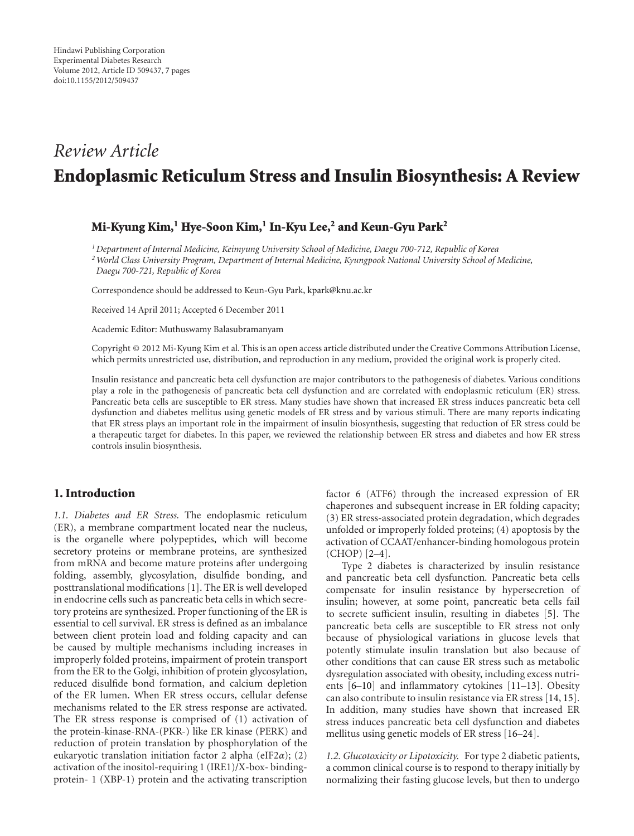# *Review Article* **Endoplasmic Reticulum Stress and Insulin Biosynthesis: A Review**

# **Mi-Kyung Kim,1 Hye-Soon Kim,1 In-Kyu Lee,2 and Keun-Gyu Park2**

*1Department of Internal Medicine, Keimyung University School of Medicine, Daegu 700-712, Republic of Korea 2World Class University Program, Department of Internal Medicine, Kyungpook National University School of Medicine, Daegu 700-721, Republic of Korea*

Correspondence should be addressed to Keun-Gyu Park, [kpark@knu.ac.kr](mailto:kpark@knu.ac.kr)

Received 14 April 2011; Accepted 6 December 2011

Academic Editor: Muthuswamy Balasubramanyam

Copyright © 2012 Mi-Kyung Kim et al. This is an open access article distributed under the Creative Commons Attribution License, which permits unrestricted use, distribution, and reproduction in any medium, provided the original work is properly cited.

Insulin resistance and pancreatic beta cell dysfunction are major contributors to the pathogenesis of diabetes. Various conditions play a role in the pathogenesis of pancreatic beta cell dysfunction and are correlated with endoplasmic reticulum (ER) stress. Pancreatic beta cells are susceptible to ER stress. Many studies have shown that increased ER stress induces pancreatic beta cell dysfunction and diabetes mellitus using genetic models of ER stress and by various stimuli. There are many reports indicating that ER stress plays an important role in the impairment of insulin biosynthesis, suggesting that reduction of ER stress could be a therapeutic target for diabetes. In this paper, we reviewed the relationship between ER stress and diabetes and how ER stress controls insulin biosynthesis.

# **1. Introduction**

*1.1. Diabetes and ER Stress.* The endoplasmic reticulum (ER), a membrane compartment located near the nucleus, is the organelle where polypeptides, which will become secretory proteins or membrane proteins, are synthesized from mRNA and become mature proteins after undergoing folding, assembly, glycosylation, disulfide bonding, and posttranslational modifications [\[1](#page-4-1)]. The ER is well developed in endocrine cells such as pancreatic beta cells in which secretory proteins are synthesized. Proper functioning of the ER is essential to cell survival. ER stress is defined as an imbalance between client protein load and folding capacity and can be caused by multiple mechanisms including increases in improperly folded proteins, impairment of protein transport from the ER to the Golgi, inhibition of protein glycosylation, reduced disulfide bond formation, and calcium depletion of the ER lumen. When ER stress occurs, cellular defense mechanisms related to the ER stress response are activated. The ER stress response is comprised of (1) activation of the protein-kinase-RNA-(PKR-) like ER kinase (PERK) and reduction of protein translation by phosphorylation of the eukaryotic translation initiation factor 2 alpha (eIF2*α*); (2) activation of the inositol-requiring 1 (IRE1)/X-box- bindingprotein- 1 (XBP-1) protein and the activating transcription

factor 6 (ATF6) through the increased expression of ER chaperones and subsequent increase in ER folding capacity; (3) ER stress-associated protein degradation, which degrades unfolded or improperly folded proteins; (4) apoptosis by the activation of CCAAT/enhancer-binding homologous protein (CHOP) [\[2](#page-4-2)[–4\]](#page-4-3).

Type 2 diabetes is characterized by insulin resistance and pancreatic beta cell dysfunction*.* Pancreatic beta cells compensate for insulin resistance by hypersecretion of insulin; however, at some point, pancreatic beta cells fail to secrete sufficient insulin, resulting in diabetes [\[5](#page-4-4)]. The pancreatic beta cells are susceptible to ER stress not only because of physiological variations in glucose levels that potently stimulate insulin translation but also because of other conditions that can cause ER stress such as metabolic dysregulation associated with obesity, including excess nutrients [\[6](#page-4-5)[–10](#page-4-6)] and inflammatory cytokines [\[11](#page-4-7)[–13\]](#page-4-8). Obesity can also contribute to insulin resistance via ER stress [\[14,](#page-4-9) [15\]](#page-4-10). In addition, many studies have shown that increased ER stress induces pancreatic beta cell dysfunction and diabetes mellitus using genetic models of ER stress [\[16](#page-4-11)[–24\]](#page-5-0).

*1.2. Glucotoxicity or Lipotoxicity.* For type 2 diabetic patients, a common clinical course is to respond to therapy initially by normalizing their fasting glucose levels, but then to undergo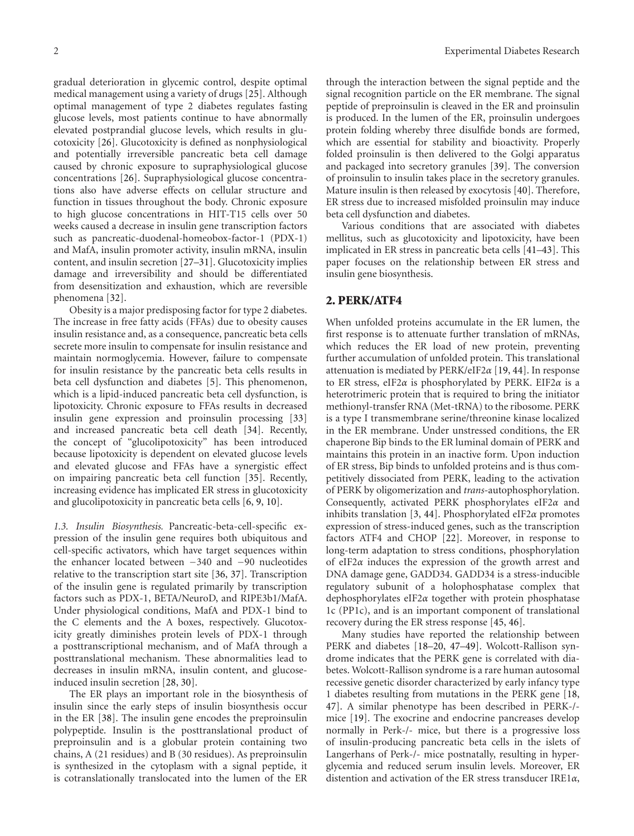gradual deterioration in glycemic control, despite optimal medical management using a variety of drugs [\[25](#page-5-1)]. Although optimal management of type 2 diabetes regulates fasting glucose levels, most patients continue to have abnormally elevated postprandial glucose levels, which results in glucotoxicity [\[26\]](#page-5-2). Glucotoxicity is defined as nonphysiological and potentially irreversible pancreatic beta cell damage caused by chronic exposure to supraphysiological glucose concentrations [\[26\]](#page-5-2). Supraphysiological glucose concentrations also have adverse effects on cellular structure and function in tissues throughout the body. Chronic exposure to high glucose concentrations in HIT-T15 cells over 50 weeks caused a decrease in insulin gene transcription factors such as pancreatic-duodenal-homeobox-factor-1 (PDX-1) and MafA, insulin promoter activity, insulin mRNA, insulin content, and insulin secretion [\[27](#page-5-3)[–31](#page-5-4)]. Glucotoxicity implies damage and irreversibility and should be differentiated from desensitization and exhaustion, which are reversible phenomena [\[32\]](#page-5-5).

Obesity is a major predisposing factor for type 2 diabetes. The increase in free fatty acids (FFAs) due to obesity causes insulin resistance and, as a consequence, pancreatic beta cells secrete more insulin to compensate for insulin resistance and maintain normoglycemia. However, failure to compensate for insulin resistance by the pancreatic beta cells results in beta cell dysfunction and diabetes [\[5\]](#page-4-4). This phenomenon, which is a lipid-induced pancreatic beta cell dysfunction, is lipotoxicity. Chronic exposure to FFAs results in decreased insulin gene expression and proinsulin processing [\[33](#page-5-6)] and increased pancreatic beta cell death [\[34\]](#page-5-7). Recently, the concept of "glucolipotoxicity" has been introduced because lipotoxicity is dependent on elevated glucose levels and elevated glucose and FFAs have a synergistic effect on impairing pancreatic beta cell function [\[35](#page-5-8)]. Recently, increasing evidence has implicated ER stress in glucotoxicity and glucolipotoxicity in pancreatic beta cells [\[6,](#page-4-5) [9](#page-4-12), [10\]](#page-4-6).

*1.3. Insulin Biosynthesis.* Pancreatic-beta-cell-specific expression of the insulin gene requires both ubiquitous and cell-specific activators, which have target sequences within the enhancer located between *−*340 and *−*90 nucleotides relative to the transcription start site [\[36](#page-5-9), [37\]](#page-5-10). Transcription of the insulin gene is regulated primarily by transcription factors such as PDX-1, BETA/NeuroD, and RIPE3b1/MafA. Under physiological conditions, MafA and PDX-1 bind to the C elements and the A boxes, respectively. Glucotoxicity greatly diminishes protein levels of PDX-1 through a posttranscriptional mechanism, and of MafA through a posttranslational mechanism. These abnormalities lead to decreases in insulin mRNA, insulin content, and glucoseinduced insulin secretion [\[28,](#page-5-11) [30\]](#page-5-12).

The ER plays an important role in the biosynthesis of insulin since the early steps of insulin biosynthesis occur in the ER [\[38\]](#page-5-13). The insulin gene encodes the preproinsulin polypeptide. Insulin is the posttranslational product of preproinsulin and is a globular protein containing two chains, A (21 residues) and B (30 residues). As preproinsulin is synthesized in the cytoplasm with a signal peptide, it is cotranslationally translocated into the lumen of the ER

through the interaction between the signal peptide and the signal recognition particle on the ER membrane. The signal peptide of preproinsulin is cleaved in the ER and proinsulin is produced. In the lumen of the ER, proinsulin undergoes protein folding whereby three disulfide bonds are formed, which are essential for stability and bioactivity. Properly folded proinsulin is then delivered to the Golgi apparatus and packaged into secretory granules [\[39](#page-5-14)]. The conversion of proinsulin to insulin takes place in the secretory granules. Mature insulin is then released by exocytosis [\[40](#page-5-15)]. Therefore, ER stress due to increased misfolded proinsulin may induce beta cell dysfunction and diabetes.

Various conditions that are associated with diabetes mellitus, such as glucotoxicity and lipotoxicity, have been implicated in ER stress in pancreatic beta cells [\[41](#page-5-16)[–43\]](#page-5-17). This paper focuses on the relationship between ER stress and insulin gene biosynthesis.

#### **2. PERK/ATF4**

When unfolded proteins accumulate in the ER lumen, the first response is to attenuate further translation of mRNAs, which reduces the ER load of new protein, preventing further accumulation of unfolded protein. This translational attenuation is mediated by PERK/eIF2*α* [\[19,](#page-5-18) [44](#page-5-19)]. In response to ER stress, eIF2*α* is phosphorylated by PERK. EIF2*α* is a heterotrimeric protein that is required to bring the initiator methionyl-transfer RNA (Met-tRNA) to the ribosome. PERK is a type I transmembrane serine/threonine kinase localized in the ER membrane. Under unstressed conditions, the ER chaperone Bip binds to the ER luminal domain of PERK and maintains this protein in an inactive form. Upon induction of ER stress, Bip binds to unfolded proteins and is thus competitively dissociated from PERK, leading to the activation of PERK by oligomerization and *trans*-autophosphorylation. Consequently, activated PERK phosphorylates eIF2*α* and inhibits translation [\[3](#page-4-13), [44\]](#page-5-19). Phosphorylated eIF2*α* promotes expression of stress-induced genes, such as the transcription factors ATF4 and CHOP [\[22\]](#page-5-20). Moreover, in response to long-term adaptation to stress conditions, phosphorylation of eIF2*α* induces the expression of the growth arrest and DNA damage gene, GADD34. GADD34 is a stress-inducible regulatory subunit of a holophosphatase complex that dephosphorylates eIF2*α* together with protein phosphatase 1c (PP1c), and is an important component of translational recovery during the ER stress response [\[45,](#page-5-21) [46](#page-5-22)].

Many studies have reported the relationship between PERK and diabetes [\[18](#page-4-14)[–20,](#page-5-23) [47](#page-5-24)[–49](#page-6-0)]. Wolcott-Rallison syndrome indicates that the PERK gene is correlated with diabetes. Wolcott-Rallison syndrome is a rare human autosomal recessive genetic disorder characterized by early infancy type 1 diabetes resulting from mutations in the PERK gene [\[18](#page-4-14), [47](#page-5-24)]. A similar phenotype has been described in PERK-/ mice [\[19](#page-5-18)]. The exocrine and endocrine pancreases develop normally in Perk-/- mice, but there is a progressive loss of insulin-producing pancreatic beta cells in the islets of Langerhans of Perk-/- mice postnatally, resulting in hyperglycemia and reduced serum insulin levels. Moreover, ER distention and activation of the ER stress transducer IRE1*α*,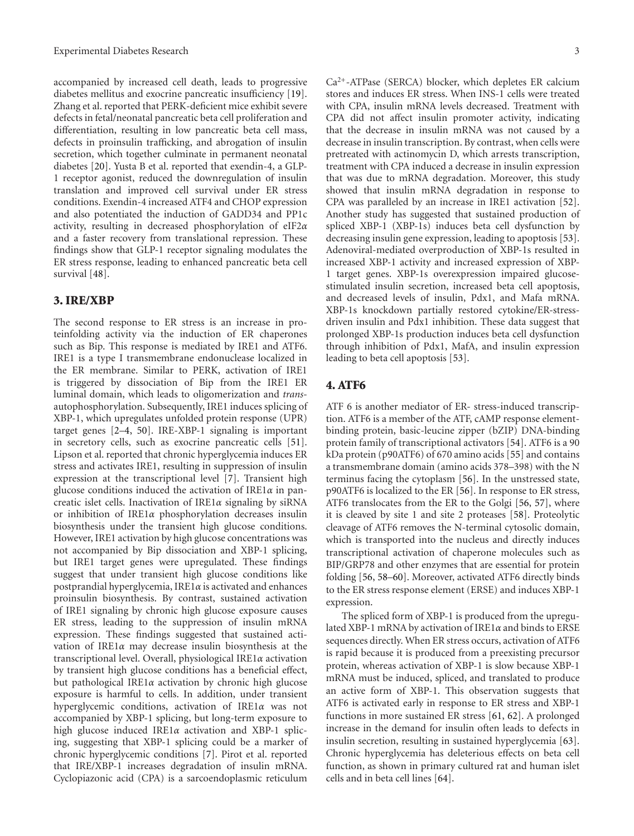accompanied by increased cell death, leads to progressive diabetes mellitus and exocrine pancreatic insufficiency [\[19\]](#page-5-18). Zhang et al. reported that PERK-deficient mice exhibit severe defects in fetal/neonatal pancreatic beta cell proliferation and differentiation, resulting in low pancreatic beta cell mass, defects in proinsulin trafficking, and abrogation of insulin secretion, which together culminate in permanent neonatal diabetes [\[20](#page-5-23)]. Yusta B et al. reported that exendin-4, a GLP-1 receptor agonist, reduced the downregulation of insulin translation and improved cell survival under ER stress conditions. Exendin-4 increased ATF4 and CHOP expression and also potentiated the induction of GADD34 and PP1c activity, resulting in decreased phosphorylation of eIF2*α* and a faster recovery from translational repression. These findings show that GLP-1 receptor signaling modulates the ER stress response, leading to enhanced pancreatic beta cell survival [\[48\]](#page-5-25).

#### **3. IRE/XBP**

The second response to ER stress is an increase in proteinfolding activity via the induction of ER chaperones such as Bip. This response is mediated by IRE1 and ATF6. IRE1 is a type I transmembrane endonuclease localized in the ER membrane. Similar to PERK, activation of IRE1 is triggered by dissociation of Bip from the IRE1 ER luminal domain, which leads to oligomerization and *trans*autophosphorylation. Subsequently, IRE1 induces splicing of XBP-1, which upregulates unfolded protein response (UPR) target genes [\[2](#page-4-2)[–4,](#page-4-3) [50](#page-6-1)]. IRE-XBP-1 signaling is important in secretory cells, such as exocrine pancreatic cells [\[51\]](#page-6-2). Lipson et al. reported that chronic hyperglycemia induces ER stress and activates IRE1, resulting in suppression of insulin expression at the transcriptional level [\[7\]](#page-4-15). Transient high glucose conditions induced the activation of IRE1*α* in pancreatic islet cells. Inactivation of IRE1*α* signaling by siRNA or inhibition of IRE1*α* phosphorylation decreases insulin biosynthesis under the transient high glucose conditions. However, IRE1 activation by high glucose concentrations was not accompanied by Bip dissociation and XBP-1 splicing, but IRE1 target genes were upregulated. These findings suggest that under transient high glucose conditions like postprandial hyperglycemia, IRE1*α* is activated and enhances proinsulin biosynthesis. By contrast, sustained activation of IRE1 signaling by chronic high glucose exposure causes ER stress, leading to the suppression of insulin mRNA expression. These findings suggested that sustained activation of IRE1*α* may decrease insulin biosynthesis at the transcriptional level. Overall, physiological IRE1*α* activation by transient high glucose conditions has a beneficial effect, but pathological IRE1*α* activation by chronic high glucose exposure is harmful to cells. In addition, under transient hyperglycemic conditions, activation of IRE1*α* was not accompanied by XBP-1 splicing, but long-term exposure to high glucose induced IRE1*α* activation and XBP-1 splicing, suggesting that XBP-1 splicing could be a marker of chronic hyperglycemic conditions [\[7\]](#page-4-15). Pirot et al. reported that IRE/XBP-1 increases degradation of insulin mRNA. Cyclopiazonic acid (CPA) is a sarcoendoplasmic reticulum

Ca2+-ATPase (SERCA) blocker, which depletes ER calcium stores and induces ER stress. When INS-1 cells were treated with CPA, insulin mRNA levels decreased. Treatment with CPA did not affect insulin promoter activity, indicating that the decrease in insulin mRNA was not caused by a decrease in insulin transcription. By contrast, when cells were pretreated with actinomycin D, which arrests transcription, treatment with CPA induced a decrease in insulin expression that was due to mRNA degradation. Moreover, this study showed that insulin mRNA degradation in response to CPA was paralleled by an increase in IRE1 activation [\[52\]](#page-6-3). Another study has suggested that sustained production of spliced XBP-1 (XBP-1s) induces beta cell dysfunction by decreasing insulin gene expression, leading to apoptosis [\[53\]](#page-6-4). Adenoviral-mediated overproduction of XBP-1s resulted in increased XBP-1 activity and increased expression of XBP-1 target genes. XBP-1s overexpression impaired glucosestimulated insulin secretion, increased beta cell apoptosis, and decreased levels of insulin, Pdx1, and Mafa mRNA. XBP-1s knockdown partially restored cytokine/ER-stressdriven insulin and Pdx1 inhibition. These data suggest that prolonged XBP-1s production induces beta cell dysfunction through inhibition of Pdx1, MafA, and insulin expression leading to beta cell apoptosis [\[53](#page-6-4)].

# **4. ATF6**

ATF 6 is another mediator of ER- stress-induced transcription. ATF6 is a member of the ATF, cAMP response elementbinding protein, basic-leucine zipper (bZIP) DNA-binding protein family of transcriptional activators [\[54\]](#page-6-5). ATF6 is a 90 kDa protein (p90ATF6) of 670 amino acids [\[55\]](#page-6-6) and contains a transmembrane domain (amino acids 378–398) with the N terminus facing the cytoplasm [\[56](#page-6-7)]. In the unstressed state, p90ATF6 is localized to the ER [\[56\]](#page-6-7). In response to ER stress, ATF6 translocates from the ER to the Golgi [\[56,](#page-6-7) [57\]](#page-6-8), where it is cleaved by site 1 and site 2 proteases [\[58\]](#page-6-9). Proteolytic cleavage of ATF6 removes the N-terminal cytosolic domain, which is transported into the nucleus and directly induces transcriptional activation of chaperone molecules such as BIP/GRP78 and other enzymes that are essential for protein folding [\[56,](#page-6-7) [58](#page-6-9)[–60\]](#page-6-10). Moreover, activated ATF6 directly binds to the ER stress response element (ERSE) and induces XBP-1 expression.

The spliced form of XBP-1 is produced from the upregulated XBP-1 mRNA by activation of IRE1*α* and binds to ERSE sequences directly. When ER stress occurs, activation of ATF6 is rapid because it is produced from a preexisting precursor protein, whereas activation of XBP-1 is slow because XBP-1 mRNA must be induced, spliced, and translated to produce an active form of XBP-1. This observation suggests that ATF6 is activated early in response to ER stress and XBP-1 functions in more sustained ER stress [\[61](#page-6-11), [62](#page-6-12)]. A prolonged increase in the demand for insulin often leads to defects in insulin secretion, resulting in sustained hyperglycemia [\[63\]](#page-6-13). Chronic hyperglycemia has deleterious effects on beta cell function, as shown in primary cultured rat and human islet cells and in beta cell lines [\[64](#page-6-14)].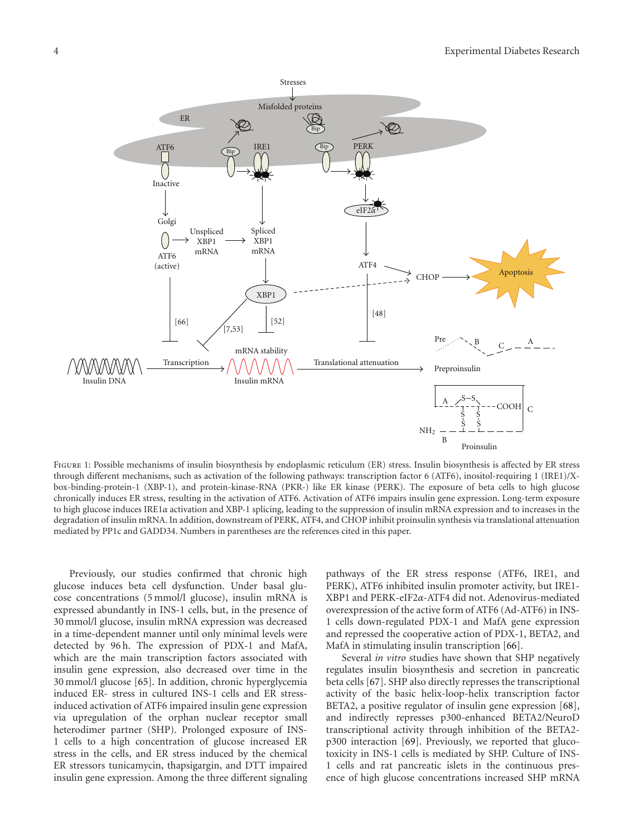

<span id="page-3-0"></span>Figure 1: Possible mechanisms of insulin biosynthesis by endoplasmic reticulum (ER) stress. Insulin biosynthesis is affected by ER stress through different mechanisms, such as activation of the following pathways: transcription factor 6 (ATF6), inositol-requiring 1 (IRE1)/Xbox-binding-protein-1 (XBP-1), and protein-kinase-RNA (PKR-) like ER kinase (PERK). The exposure of beta cells to high glucose chronically induces ER stress, resulting in the activation of ATF6. Activation of ATF6 impairs insulin gene expression. Long-term exposure to high glucose induces IRE1*α* activation and XBP-1 splicing, leading to the suppression of insulin mRNA expression and to increases in the degradation of insulin mRNA. In addition, downstream of PERK, ATF4, and CHOP inhibit proinsulin synthesis via translational attenuation mediated by PP1c and GADD34. Numbers in parentheses are the references cited in this paper.

Previously, our studies confirmed that chronic high glucose induces beta cell dysfunction. Under basal glucose concentrations (5 mmol/l glucose), insulin mRNA is expressed abundantly in INS-1 cells, but, in the presence of 30 mmol/l glucose, insulin mRNA expression was decreased in a time-dependent manner until only minimal levels were detected by 96 h. The expression of PDX-1 and MafA, which are the main transcription factors associated with insulin gene expression, also decreased over time in the 30 mmol/l glucose [\[65](#page-6-15)]. In addition, chronic hyperglycemia induced ER- stress in cultured INS-1 cells and ER stressinduced activation of ATF6 impaired insulin gene expression via upregulation of the orphan nuclear receptor small heterodimer partner (SHP). Prolonged exposure of INS-1 cells to a high concentration of glucose increased ER stress in the cells, and ER stress induced by the chemical ER stressors tunicamycin, thapsigargin, and DTT impaired insulin gene expression. Among the three different signaling pathways of the ER stress response (ATF6, IRE1, and PERK), ATF6 inhibited insulin promoter activity, but IRE1- XBP1 and PERK-eIF2*α*-ATF4 did not. Adenovirus-mediated overexpression of the active form of ATF6 (Ad-ATF6) in INS-1 cells down-regulated PDX-1 and MafA gene expression and repressed the cooperative action of PDX-1, BETA2, and MafA in stimulating insulin transcription [\[66](#page-6-16)].

Several *in vitro* studies have shown that SHP negatively regulates insulin biosynthesis and secretion in pancreatic beta cells [\[67\]](#page-6-17). SHP also directly represses the transcriptional activity of the basic helix-loop-helix transcription factor BETA2, a positive regulator of insulin gene expression [\[68\]](#page-6-18), and indirectly represses p300-enhanced BETA2/NeuroD transcriptional activity through inhibition of the BETA2 p300 interaction [\[69](#page-6-19)]. Previously, we reported that glucotoxicity in INS-1 cells is mediated by SHP. Culture of INS-1 cells and rat pancreatic islets in the continuous presence of high glucose concentrations increased SHP mRNA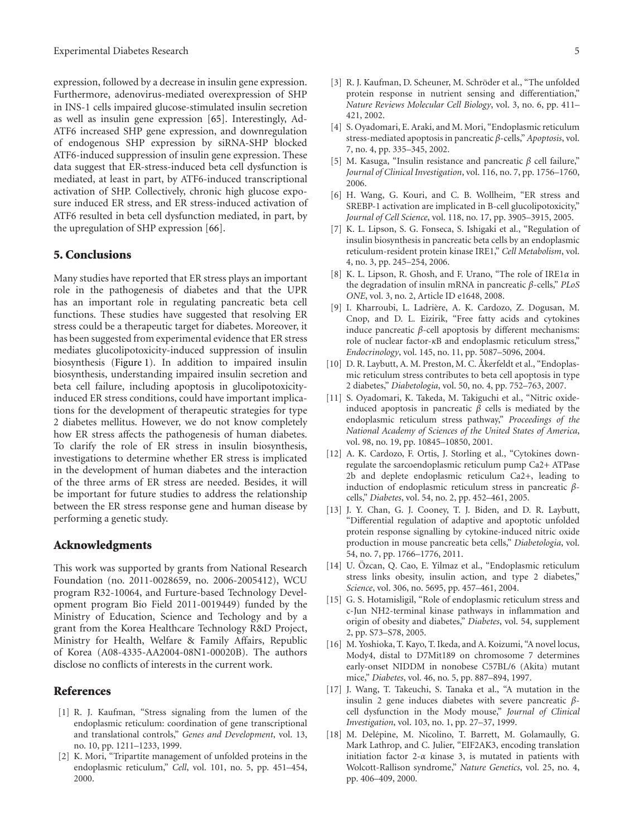expression, followed by a decrease in insulin gene expression. Furthermore, adenovirus-mediated overexpression of SHP in INS-1 cells impaired glucose-stimulated insulin secretion as well as insulin gene expression [\[65](#page-6-15)]. Interestingly, Ad-ATF6 increased SHP gene expression, and downregulation of endogenous SHP expression by siRNA-SHP blocked ATF6-induced suppression of insulin gene expression. These data suggest that ER-stress-induced beta cell dysfunction is mediated, at least in part, by ATF6-induced transcriptional activation of SHP. Collectively, chronic high glucose exposure induced ER stress, and ER stress-induced activation of ATF6 resulted in beta cell dysfunction mediated, in part, by the upregulation of SHP expression [\[66](#page-6-16)].

## **5. Conclusions**

Many studies have reported that ER stress plays an important role in the pathogenesis of diabetes and that the UPR has an important role in regulating pancreatic beta cell functions. These studies have suggested that resolving ER stress could be a therapeutic target for diabetes. Moreover, it has been suggested from experimental evidence that ER stress mediates glucolipotoxicity-induced suppression of insulin biosynthesis [\(Figure 1\)](#page-3-0). In addition to impaired insulin biosynthesis, understanding impaired insulin secretion and beta cell failure, including apoptosis in glucolipotoxicityinduced ER stress conditions, could have important implications for the development of therapeutic strategies for type 2 diabetes mellitus. However, we do not know completely how ER stress affects the pathogenesis of human diabetes. To clarify the role of ER stress in insulin biosynthesis, investigations to determine whether ER stress is implicated in the development of human diabetes and the interaction of the three arms of ER stress are needed. Besides, it will be important for future studies to address the relationship between the ER stress response gene and human disease by performing a genetic study.

## **Acknowledgments**

This work was supported by grants from National Research Foundation (no. 2011-0028659, no. 2006-2005412), WCU program R32-10064, and Furture-based Technology Development program Bio Field 2011-0019449) funded by the Ministry of Education, Science and Techology and by a grant from the Korea Healthcare Technology R&D Project, Ministry for Health, Welfare & Family Affairs, Republic of Korea (A08-4335-AA2004-08N1-00020B). The authors disclose no conflicts of interests in the current work.

#### <span id="page-4-0"></span>**References**

- <span id="page-4-1"></span>[1] R. J. Kaufman, "Stress signaling from the lumen of the endoplasmic reticulum: coordination of gene transcriptional and translational controls," *Genes and Development*, vol. 13, no. 10, pp. 1211–1233, 1999.
- <span id="page-4-2"></span>[2] K. Mori, "Tripartite management of unfolded proteins in the endoplasmic reticulum," *Cell*, vol. 101, no. 5, pp. 451–454, 2000.
- <span id="page-4-13"></span>[3] R. J. Kaufman, D. Scheuner, M. Schröder et al., "The unfolded protein response in nutrient sensing and differentiation," *Nature Reviews Molecular Cell Biology*, vol. 3, no. 6, pp. 411– 421, 2002.
- <span id="page-4-3"></span>[4] S. Oyadomari, E. Araki, and M. Mori, "Endoplasmic reticulum stress-mediated apoptosis in pancreatic *β*-cells," *Apoptosis*, vol. 7, no. 4, pp. 335–345, 2002.
- <span id="page-4-4"></span>[5] M. Kasuga, "Insulin resistance and pancreatic *β* cell failure," *Journal of Clinical Investigation*, vol. 116, no. 7, pp. 1756–1760, 2006.
- <span id="page-4-5"></span>[6] H. Wang, G. Kouri, and C. B. Wollheim, "ER stress and SREBP-1 activation are implicated in B-cell glucolipotoxicity," *Journal of Cell Science*, vol. 118, no. 17, pp. 3905–3915, 2005.
- <span id="page-4-15"></span>[7] K. L. Lipson, S. G. Fonseca, S. Ishigaki et al., "Regulation of insulin biosynthesis in pancreatic beta cells by an endoplasmic reticulum-resident protein kinase IRE1," *Cell Metabolism*, vol. 4, no. 3, pp. 245–254, 2006.
- [8] K. L. Lipson, R. Ghosh, and F. Urano, "The role of IRE1*α* in the degradation of insulin mRNA in pancreatic *β*-cells," *PLoS ONE*, vol. 3, no. 2, Article ID e1648, 2008.
- <span id="page-4-12"></span>[9] I. Kharroubi, L. Ladriere, A. K. Cardozo, Z. Dogusan, M. ` Cnop, and D. L. Eizirik, "Free fatty acids and cytokines induce pancreatic *β*-cell apoptosis by different mechanisms: role of nuclear factor-*κ*B and endoplasmic reticulum stress," *Endocrinology*, vol. 145, no. 11, pp. 5087–5096, 2004.
- <span id="page-4-6"></span>[10] D. R. Laybutt, A. M. Preston, M. C. Åkerfeldt et al., "Endoplasmic reticulum stress contributes to beta cell apoptosis in type 2 diabetes," *Diabetologia*, vol. 50, no. 4, pp. 752–763, 2007.
- <span id="page-4-7"></span>[11] S. Oyadomari, K. Takeda, M. Takiguchi et al., "Nitric oxideinduced apoptosis in pancreatic *β* cells is mediated by the endoplasmic reticulum stress pathway," *Proceedings of the National Academy of Sciences of the United States of America*, vol. 98, no. 19, pp. 10845–10850, 2001.
- [12] A. K. Cardozo, F. Ortis, J. Storling et al., "Cytokines downregulate the sarcoendoplasmic reticulum pump Ca2+ ATPase 2b and deplete endoplasmic reticulum Ca2+, leading to induction of endoplasmic reticulum stress in pancreatic *β*cells," *Diabetes*, vol. 54, no. 2, pp. 452–461, 2005.
- <span id="page-4-8"></span>[13] J. Y. Chan, G. J. Cooney, T. J. Biden, and D. R. Laybutt, "Differential regulation of adaptive and apoptotic unfolded protein response signalling by cytokine-induced nitric oxide production in mouse pancreatic beta cells," *Diabetologia*, vol. 54, no. 7, pp. 1766–1776, 2011.
- <span id="page-4-9"></span>[14] U. Özcan, O. Cao, E. Yilmaz et al., "Endoplasmic reticulum stress links obesity, insulin action, and type 2 diabetes," *Science*, vol. 306, no. 5695, pp. 457–461, 2004.
- <span id="page-4-10"></span>[15] G. S. Hotamisligil, "Role of endoplasmic reticulum stress and c-Jun NH2-terminal kinase pathways in inflammation and origin of obesity and diabetes," *Diabetes*, vol. 54, supplement 2, pp. S73–S78, 2005.
- <span id="page-4-11"></span>[16] M. Yoshioka, T. Kayo, T. Ikeda, and A. Koizumi, "A novel locus, Mody4, distal to D7Mit189 on chromosome 7 determines early-onset NIDDM in nonobese C57BL/6 (Akita) mutant mice," *Diabetes*, vol. 46, no. 5, pp. 887–894, 1997.
- [17] J. Wang, T. Takeuchi, S. Tanaka et al., "A mutation in the insulin 2 gene induces diabetes with severe pancreatic *β*cell dysfunction in the Mody mouse," *Journal of Clinical Investigation*, vol. 103, no. 1, pp. 27–37, 1999.
- <span id="page-4-14"></span>[18] M. Delépine, M. Nicolino, T. Barrett, M. Golamaully, G. Mark Lathrop, and C. Julier, "EIF2AK3, encoding translation initiation factor  $2-\alpha$  kinase 3, is mutated in patients with Wolcott-Rallison syndrome," *Nature Genetics*, vol. 25, no. 4, pp. 406–409, 2000.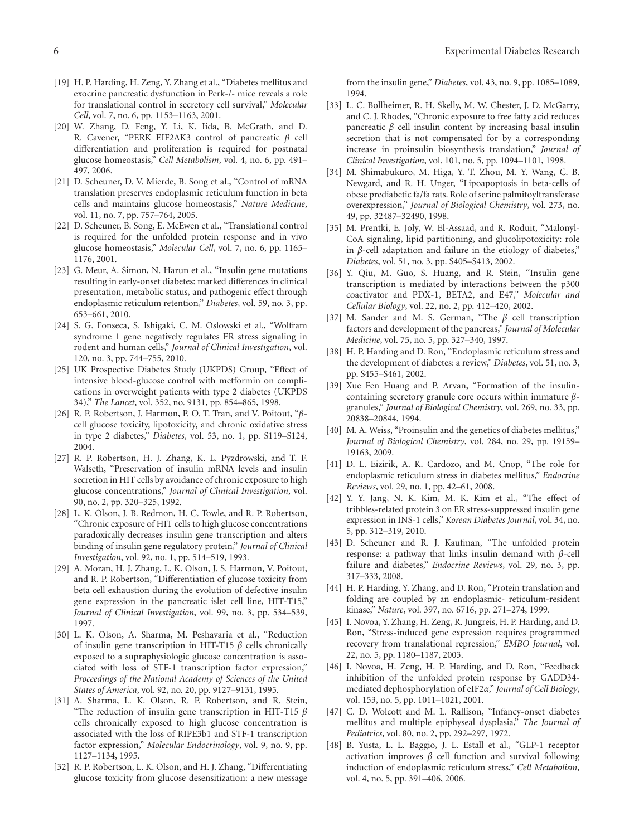- <span id="page-5-18"></span>[19] H. P. Harding, H. Zeng, Y. Zhang et al., "Diabetes mellitus and exocrine pancreatic dysfunction in Perk-/- mice reveals a role for translational control in secretory cell survival," *Molecular Cell*, vol. 7, no. 6, pp. 1153–1163, 2001.
- <span id="page-5-23"></span>[20] W. Zhang, D. Feng, Y. Li, K. Iida, B. McGrath, and D. R. Cavener, "PERK EIF2AK3 control of pancreatic *β* cell differentiation and proliferation is required for postnatal glucose homeostasis," *Cell Metabolism*, vol. 4, no. 6, pp. 491– 497, 2006.
- [21] D. Scheuner, D. V. Mierde, B. Song et al., "Control of mRNA translation preserves endoplasmic reticulum function in beta cells and maintains glucose homeostasis," *Nature Medicine*, vol. 11, no. 7, pp. 757–764, 2005.
- <span id="page-5-20"></span>[22] D. Scheuner, B. Song, E. McEwen et al., "Translational control is required for the unfolded protein response and in vivo glucose homeostasis," *Molecular Cell*, vol. 7, no. 6, pp. 1165– 1176, 2001.
- [23] G. Meur, A. Simon, N. Harun et al., "Insulin gene mutations" resulting in early-onset diabetes: marked differences in clinical presentation, metabolic status, and pathogenic effect through endoplasmic reticulum retention," *Diabetes*, vol. 59, no. 3, pp. 653–661, 2010.
- <span id="page-5-0"></span>[24] S. G. Fonseca, S. Ishigaki, C. M. Oslowski et al., "Wolfram syndrome 1 gene negatively regulates ER stress signaling in rodent and human cells," *Journal of Clinical Investigation*, vol. 120, no. 3, pp. 744–755, 2010.
- <span id="page-5-1"></span>[25] UK Prospective Diabetes Study (UKPDS) Group, "Effect of intensive blood-glucose control with metformin on complications in overweight patients with type 2 diabetes (UKPDS 34)," *The Lancet*, vol. 352, no. 9131, pp. 854–865, 1998.
- <span id="page-5-2"></span>[26] R. P. Robertson, J. Harmon, P. O. T. Tran, and V. Poitout, "*β*cell glucose toxicity, lipotoxicity, and chronic oxidative stress in type 2 diabetes," *Diabetes*, vol. 53, no. 1, pp. S119–S124, 2004.
- <span id="page-5-3"></span>[27] R. P. Robertson, H. J. Zhang, K. L. Pyzdrowski, and T. F. Walseth, "Preservation of insulin mRNA levels and insulin secretion in HIT cells by avoidance of chronic exposure to high glucose concentrations," *Journal of Clinical Investigation*, vol. 90, no. 2, pp. 320–325, 1992.
- <span id="page-5-11"></span>[28] L. K. Olson, J. B. Redmon, H. C. Towle, and R. P. Robertson, "Chronic exposure of HIT cells to high glucose concentrations paradoxically decreases insulin gene transcription and alters binding of insulin gene regulatory protein," *Journal of Clinical Investigation*, vol. 92, no. 1, pp. 514–519, 1993.
- [29] A. Moran, H. J. Zhang, L. K. Olson, J. S. Harmon, V. Poitout, and R. P. Robertson, "Differentiation of glucose toxicity from beta cell exhaustion during the evolution of defective insulin gene expression in the pancreatic islet cell line, HIT-T15," *Journal of Clinical Investigation*, vol. 99, no. 3, pp. 534–539, 1997.
- <span id="page-5-12"></span>[30] L. K. Olson, A. Sharma, M. Peshavaria et al., "Reduction of insulin gene transcription in HIT-T15 *β* cells chronically exposed to a supraphysiologic glucose concentration is associated with loss of STF-1 transcription factor expression," *Proceedings of the National Academy of Sciences of the United States of America*, vol. 92, no. 20, pp. 9127–9131, 1995.
- <span id="page-5-4"></span>[31] A. Sharma, L. K. Olson, R. P. Robertson, and R. Stein, "The reduction of insulin gene transcription in HIT-T15 *β* cells chronically exposed to high glucose concentration is associated with the loss of RIPE3b1 and STF-1 transcription factor expression," *Molecular Endocrinology*, vol. 9, no. 9, pp. 1127–1134, 1995.
- <span id="page-5-5"></span>[32] R. P. Robertson, L. K. Olson, and H. J. Zhang, "Differentiating glucose toxicity from glucose desensitization: a new message

from the insulin gene," *Diabetes*, vol. 43, no. 9, pp. 1085–1089, 1994.

- <span id="page-5-6"></span>[33] L. C. Bollheimer, R. H. Skelly, M. W. Chester, J. D. McGarry, and C. J. Rhodes, "Chronic exposure to free fatty acid reduces pancreatic  $β$  cell insulin content by increasing basal insulin secretion that is not compensated for by a corresponding increase in proinsulin biosynthesis translation," *Journal of Clinical Investigation*, vol. 101, no. 5, pp. 1094–1101, 1998.
- <span id="page-5-7"></span>[34] M. Shimabukuro, M. Higa, Y. T. Zhou, M. Y. Wang, C. B. Newgard, and R. H. Unger, "Lipoapoptosis in beta-cells of obese prediabetic fa/fa rats. Role of serine palmitoyltransferase overexpression," *Journal of Biological Chemistry*, vol. 273, no. 49, pp. 32487–32490, 1998.
- <span id="page-5-8"></span>[35] M. Prentki, E. Joly, W. El-Assaad, and R. Roduit, "Malonyl-CoA signaling, lipid partitioning, and glucolipotoxicity: role in *β*-cell adaptation and failure in the etiology of diabetes," *Diabetes*, vol. 51, no. 3, pp. S405–S413, 2002.
- <span id="page-5-9"></span>[36] Y. Qiu, M. Guo, S. Huang, and R. Stein, "Insulin gene transcription is mediated by interactions between the p300 coactivator and PDX-1, BETA2, and E47," *Molecular and Cellular Biology*, vol. 22, no. 2, pp. 412–420, 2002.
- <span id="page-5-10"></span>[37] M. Sander and M. S. German, "The *β* cell transcription factors and development of the pancreas," *Journal of Molecular Medicine*, vol. 75, no. 5, pp. 327–340, 1997.
- <span id="page-5-13"></span>[38] H. P. Harding and D. Ron, "Endoplasmic reticulum stress and the development of diabetes: a review," *Diabetes*, vol. 51, no. 3, pp. S455–S461, 2002.
- <span id="page-5-14"></span>[39] Xue Fen Huang and P. Arvan, "Formation of the insulincontaining secretory granule core occurs within immature *β*granules," *Journal of Biological Chemistry*, vol. 269, no. 33, pp. 20838–20844, 1994.
- <span id="page-5-15"></span>[40] M. A. Weiss, "Proinsulin and the genetics of diabetes mellitus," *Journal of Biological Chemistry*, vol. 284, no. 29, pp. 19159– 19163, 2009.
- <span id="page-5-16"></span>[41] D. L. Eizirik, A. K. Cardozo, and M. Cnop, "The role for endoplasmic reticulum stress in diabetes mellitus," *Endocrine Reviews*, vol. 29, no. 1, pp. 42–61, 2008.
- [42] Y. Y. Jang, N. K. Kim, M. K. Kim et al., "The effect of tribbles-related protein 3 on ER stress-suppressed insulin gene expression in INS-1 cells," *Korean Diabetes Journal*, vol. 34, no. 5, pp. 312–319, 2010.
- <span id="page-5-17"></span>[43] D. Scheuner and R. J. Kaufman, "The unfolded protein response: a pathway that links insulin demand with *β*-cell failure and diabetes," *Endocrine Reviews*, vol. 29, no. 3, pp. 317–333, 2008.
- <span id="page-5-19"></span>[44] H. P. Harding, Y. Zhang, and D. Ron, "Protein translation and folding are coupled by an endoplasmic- reticulum-resident kinase," *Nature*, vol. 397, no. 6716, pp. 271–274, 1999.
- <span id="page-5-21"></span>[45] I. Novoa, Y. Zhang, H. Zeng, R. Jungreis, H. P. Harding, and D. Ron, "Stress-induced gene expression requires programmed recovery from translational repression," *EMBO Journal*, vol. 22, no. 5, pp. 1180–1187, 2003.
- <span id="page-5-22"></span>[46] I. Novoa, H. Zeng, H. P. Harding, and D. Ron, "Feedback inhibition of the unfolded protein response by GADD34 mediated dephosphorylation of eIF2*α*," *Journal of Cell Biology*, vol. 153, no. 5, pp. 1011–1021, 2001.
- <span id="page-5-24"></span>[47] C. D. Wolcott and M. L. Rallison, "Infancy-onset diabetes mellitus and multiple epiphyseal dysplasia," *The Journal of Pediatrics*, vol. 80, no. 2, pp. 292–297, 1972.
- <span id="page-5-25"></span>[48] B. Yusta, L. L. Baggio, J. L. Estall et al., "GLP-1 receptor activation improves *β* cell function and survival following induction of endoplasmic reticulum stress," *Cell Metabolism*, vol. 4, no. 5, pp. 391–406, 2006.